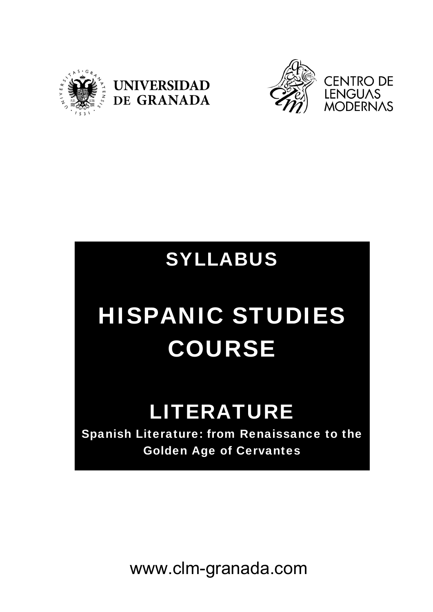



## SYLLABUS

# HISPANIC STUDIES COURSE

# LITERATURE

Spanish Literature: from Renaissance to the Golden Age of Cervantes

www.clm-granada.com